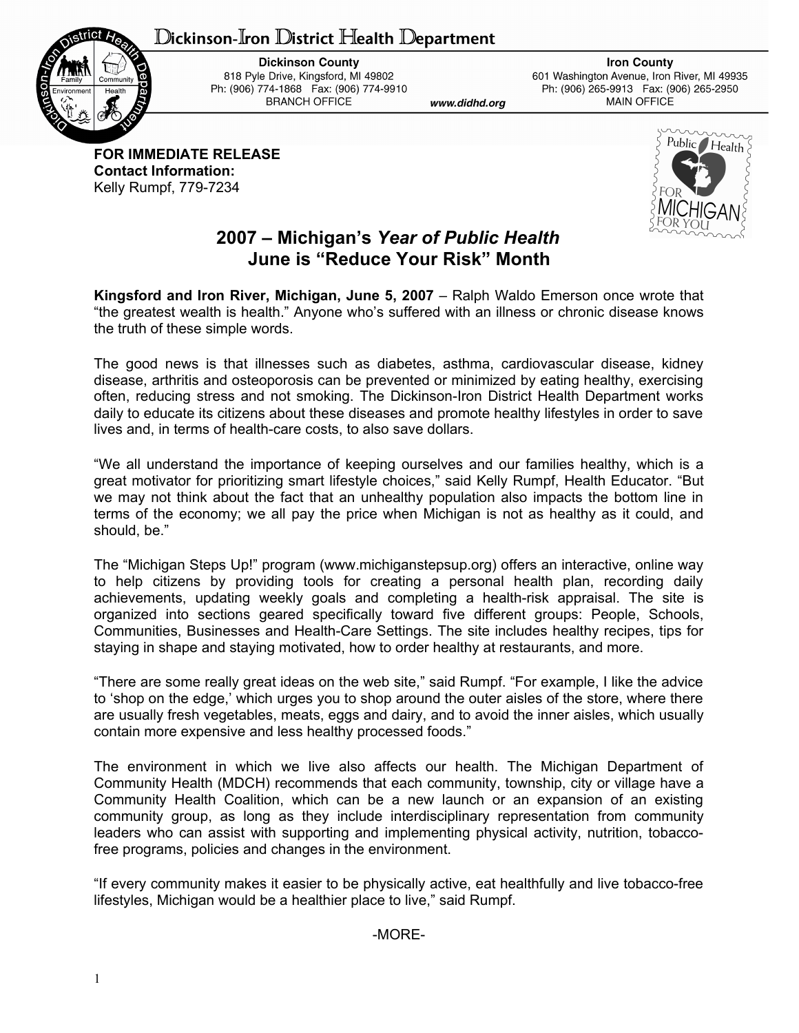## ${\mathbb D}$ ickinson-Iron  ${\mathbb D}$ istrict Health  ${\mathbb D}$ epartment



**Dickinson County** 818 Pyle Drive, Kingsford, MI 49802 Ph: (906) 774-1868 Fax: (906) 774-9910 **BRANCH OFFICE** 

www.didhd.org

**Iron County** 601 Washington Avenue, Iron River, MI 49935 Ph: (906) 265-9913 Fax: (906) 265-2950 **MAIN OFFICE** 

**FOR IMMEDIATE RELEASE Contact Information:** Kelly Rumpf, 779-7234



## **2007 – Michigan's** *Year of Public Health* **June is "Reduce Your Risk" Month**

**Kingsford and Iron River, Michigan, June 5, 2007** – Ralph Waldo Emerson once wrote that "the greatest wealth is health." Anyone who's suffered with an illness or chronic disease knows the truth of these simple words.

The good news is that illnesses such as diabetes, asthma, cardiovascular disease, kidney disease, arthritis and osteoporosis can be prevented or minimized by eating healthy, exercising often, reducing stress and not smoking. The Dickinson-Iron District Health Department works daily to educate its citizens about these diseases and promote healthy lifestyles in order to save lives and, in terms of health-care costs, to also save dollars.

"We all understand the importance of keeping ourselves and our families healthy, which is a great motivator for prioritizing smart lifestyle choices," said Kelly Rumpf, Health Educator. "But we may not think about the fact that an unhealthy population also impacts the bottom line in terms of the economy; we all pay the price when Michigan is not as healthy as it could, and should, be."

The "Michigan Steps Up!" program (www.michiganstepsup.org) offers an interactive, online way to help citizens by providing tools for creating a personal health plan, recording daily achievements, updating weekly goals and completing a health-risk appraisal. The site is organized into sections geared specifically toward five different groups: People, Schools, Communities, Businesses and Health-Care Settings. The site includes healthy recipes, tips for staying in shape and staying motivated, how to order healthy at restaurants, and more.

"There are some really great ideas on the web site," said Rumpf. "For example, I like the advice to 'shop on the edge,' which urges you to shop around the outer aisles of the store, where there are usually fresh vegetables, meats, eggs and dairy, and to avoid the inner aisles, which usually contain more expensive and less healthy processed foods."

The environment in which we live also affects our health. The Michigan Department of Community Health (MDCH) recommends that each community, township, city or village have a Community Health Coalition, which can be a new launch or an expansion of an existing community group, as long as they include interdisciplinary representation from community leaders who can assist with supporting and implementing physical activity, nutrition, tobaccofree programs, policies and changes in the environment.

"If every community makes it easier to be physically active, eat healthfully and live tobacco-free lifestyles, Michigan would be a healthier place to live," said Rumpf.